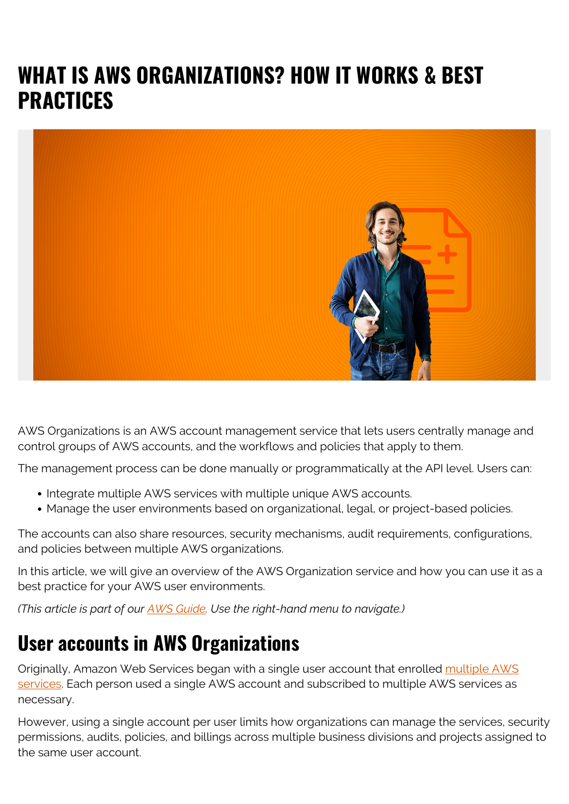# **WHAT IS AWS ORGANIZATIONS? HOW IT WORKS & BEST PRACTICES**



AWS Organizations is an AWS account management service that lets users centrally manage and control groups of AWS accounts, and the workflows and policies that apply to them.

The management process can be done manually or programmatically at the API level. Users can:

- Integrate multiple AWS services with multiple unique AWS accounts.
- Manage the user environments based on organizational, legal, or project-based policies.

The accounts can also share resources, security mechanisms, audit requirements, configurations, and policies between multiple AWS organizations.

In this article, we will give an overview of the AWS Organization service and how you can use it as a best practice for your AWS user environments.

*(This article is part of our [AWS Guide](https://blogs.bmc.com/blogs/aws-serverless-applications/). Use the right-hand menu to navigate.)*

#### **User accounts in AWS Organizations**

Originally, Amazon Web Services began with a single user account that enrolled [multiple AWS](https://blogs.bmc.com/blogs/aws-serverless-applications/) [services](https://blogs.bmc.com/blogs/aws-serverless-applications/). Each person used a single AWS account and subscribed to multiple AWS services as necessary.

However, using a single account per user limits how organizations can manage the services, security permissions, audits, policies, and billings across multiple business divisions and projects assigned to the same user account.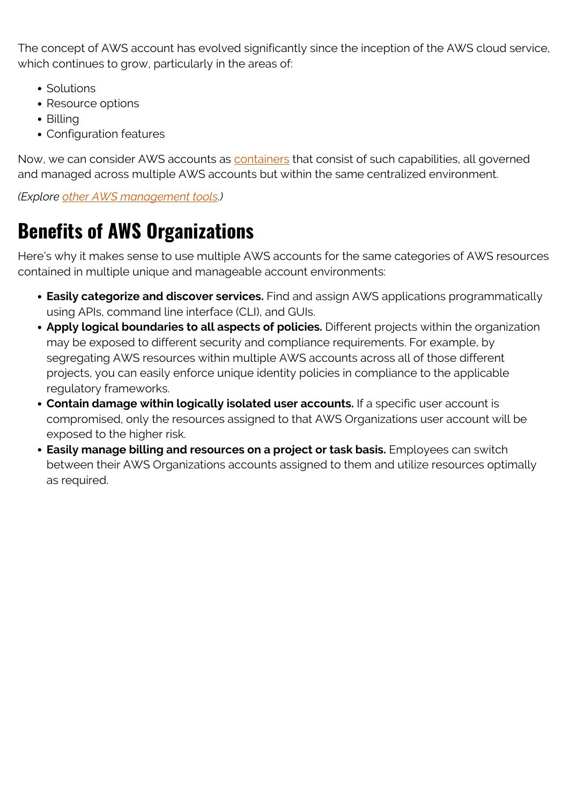The concept of AWS account has evolved significantly since the inception of the AWS cloud service, which continues to grow, particularly in the areas of:

- Solutions
- Resource options
- Billing
- Configuration features

Now, we can consider AWS accounts as [containers](https://blogs.bmc.com/blogs/what-is-a-container-containerization-explained/) that consist of such capabilities, all governed and managed across multiple AWS accounts but within the same centralized environment.

*(Explore [other AWS management tools](https://blogs.bmc.com/blogs/aws-management-tools/).)*

## **Benefits of AWS Organizations**

Here's why it makes sense to use multiple AWS accounts for the same categories of AWS resources contained in multiple unique and manageable account environments:

- **Easily categorize and discover services.** Find and assign AWS applications programmatically using APIs, command line interface (CLI), and GUIs.
- **Apply logical boundaries to all aspects of policies.** Different projects within the organization may be exposed to different security and compliance requirements. For example, by segregating AWS resources within multiple AWS accounts across all of those different projects, you can easily enforce unique identity policies in compliance to the applicable regulatory frameworks.
- **Contain damage within logically isolated user accounts.** If a specific user account is compromised, only the resources assigned to that AWS Organizations user account will be exposed to the higher risk.
- **Easily manage billing and resources on a project or task basis.** Employees can switch between their AWS Organizations accounts assigned to them and utilize resources optimally as required.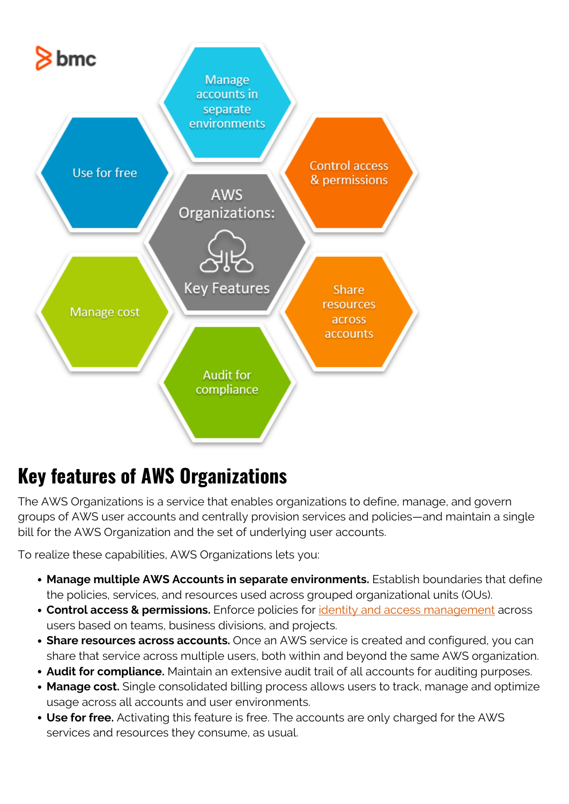

### **Key features of AWS Organizations**

The AWS Organizations is a service that enables organizations to define, manage, and govern groups of AWS user accounts and centrally provision services and policies—and maintain a single bill for the AWS Organization and the set of underlying user accounts.

To realize these capabilities, AWS Organizations lets you:

- **Manage multiple AWS Accounts in separate environments.** Establish boundaries that define the policies, services, and resources used across grouped organizational units (OUs).
- **Control access & permissions.** Enforce policies for *[identity and access management](https://blogs.bmc.com/blogs/identity-access-management/)* across users based on teams, business divisions, and projects.
- **Share resources across accounts.** Once an AWS service is created and configured, you can share that service across multiple users, both within and beyond the same AWS organization.
- **Audit for compliance.** Maintain an extensive audit trail of all accounts for auditing purposes.
- **Manage cost.** Single consolidated billing process allows users to track, manage and optimize usage across all accounts and user environments.
- **Use for free.** Activating this feature is free. The accounts are only charged for the AWS services and resources they consume, as usual.